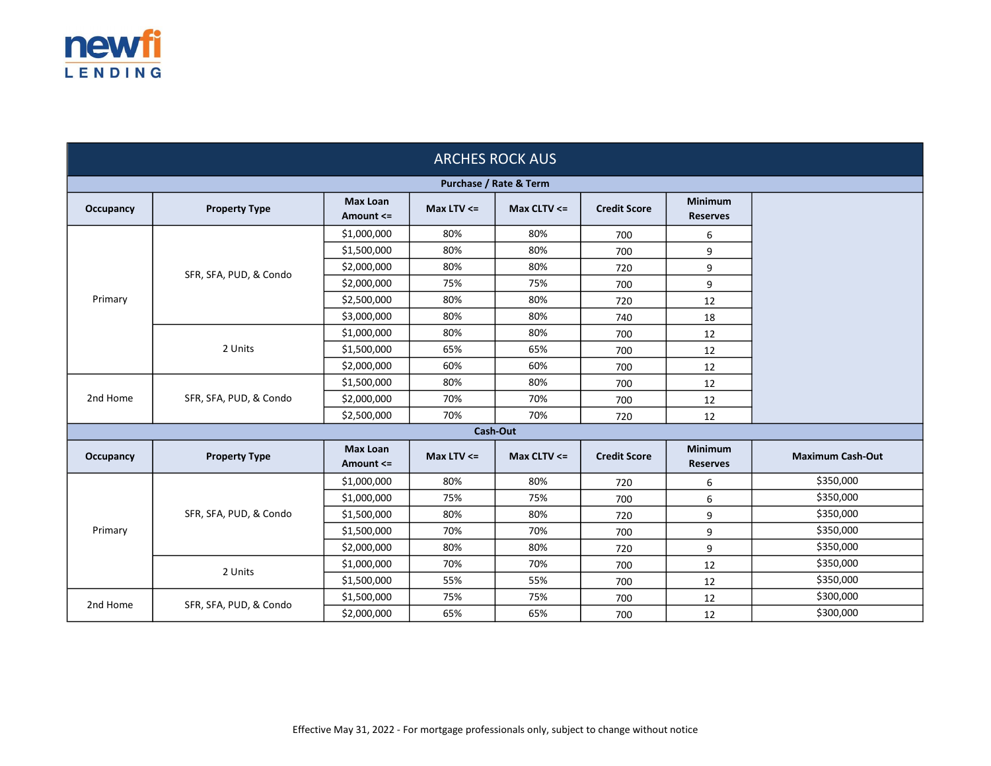

| <b>ARCHES ROCK AUS</b> |                        |                              |                 |                 |                     |                                   |                         |
|------------------------|------------------------|------------------------------|-----------------|-----------------|---------------------|-----------------------------------|-------------------------|
| Purchase / Rate & Term |                        |                              |                 |                 |                     |                                   |                         |
| Occupancy              | <b>Property Type</b>   | <b>Max Loan</b><br>Amount <= | Max LTV $\leq$  | Max CLTV $\leq$ | <b>Credit Score</b> | <b>Minimum</b><br><b>Reserves</b> |                         |
|                        | SFR, SFA, PUD, & Condo | \$1,000,000                  | 80%             | 80%             | 700                 | 6                                 |                         |
|                        |                        | \$1,500,000                  | 80%             | 80%             | 700                 | 9                                 |                         |
|                        |                        | \$2,000,000                  | 80%             | 80%             | 720                 | 9                                 |                         |
|                        |                        | \$2,000,000                  | 75%             | 75%             | 700                 | 9                                 |                         |
| Primary                |                        | \$2,500,000                  | 80%             | 80%             | 720                 | 12                                |                         |
|                        |                        | \$3,000,000                  | 80%             | 80%             | 740                 | 18                                |                         |
|                        |                        | \$1,000,000                  | 80%             | 80%             | 700                 | 12                                |                         |
|                        | 2 Units                | \$1,500,000                  | 65%             | 65%             | 700                 | 12                                |                         |
|                        |                        | \$2,000,000                  | 60%             | 60%             | 700                 | 12                                |                         |
|                        | SFR, SFA, PUD, & Condo | \$1,500,000                  | 80%             | 80%             | 700                 | 12                                |                         |
| 2nd Home               |                        | \$2,000,000                  | 70%             | 70%             | 700                 | 12                                |                         |
|                        |                        | \$2,500,000                  | 70%             | 70%             | 720                 | 12                                |                         |
|                        |                        |                              | <b>Cash-Out</b> |                 |                     |                                   |                         |
| Occupancy              | <b>Property Type</b>   | <b>Max Loan</b><br>Amount <= | Max LTV $\leq$  | Max CLTV $\leq$ | <b>Credit Score</b> | Minimum<br><b>Reserves</b>        | <b>Maximum Cash-Out</b> |
|                        | SFR, SFA, PUD, & Condo | \$1,000,000                  | 80%             | 80%             | 720                 | 6                                 | \$350,000               |
|                        |                        | \$1,000,000                  | 75%             | 75%             | 700                 | 6                                 | \$350,000               |
|                        |                        | \$1,500,000                  | 80%             | 80%             | 720                 | 9                                 | \$350,000               |
| Primary                |                        | \$1,500,000                  | 70%             | 70%             | 700                 | 9                                 | \$350,000               |
|                        |                        | \$2,000,000                  | 80%             | 80%             | 720                 | 9                                 | \$350,000               |
|                        | 2 Units                | \$1,000,000                  | 70%             | 70%             | 700                 | 12                                | \$350,000               |
|                        |                        | \$1,500,000                  | 55%             | 55%             | 700                 | 12                                | \$350,000               |
| 2nd Home               | SFR, SFA, PUD, & Condo | \$1,500,000                  | 75%             | 75%             | 700                 | 12                                | \$300,000               |
|                        |                        | \$2,000,000                  | 65%             | 65%             | 700                 | 12                                | \$300,000               |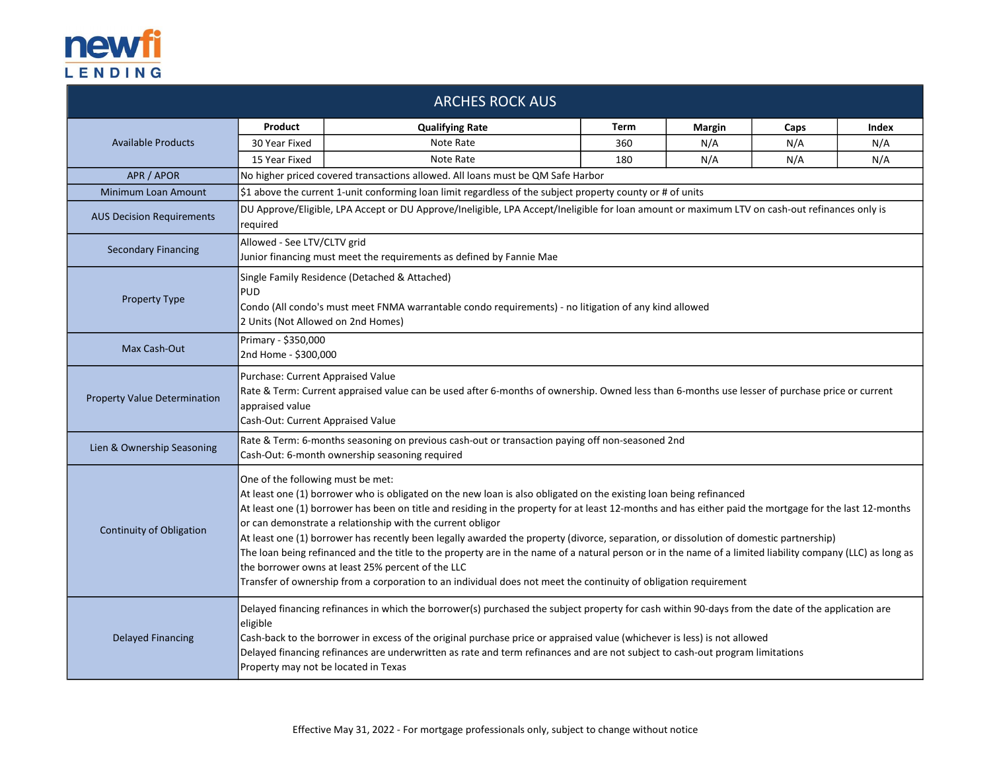

|                                     |                                                                                                                                                                                                                                                                                                                                                                                                                                                                                                                                                                                                                                                                                                                                                                                                                                                                   | <b>ARCHES ROCK AUS</b>                                                          |      |        |      |       |
|-------------------------------------|-------------------------------------------------------------------------------------------------------------------------------------------------------------------------------------------------------------------------------------------------------------------------------------------------------------------------------------------------------------------------------------------------------------------------------------------------------------------------------------------------------------------------------------------------------------------------------------------------------------------------------------------------------------------------------------------------------------------------------------------------------------------------------------------------------------------------------------------------------------------|---------------------------------------------------------------------------------|------|--------|------|-------|
|                                     | Product                                                                                                                                                                                                                                                                                                                                                                                                                                                                                                                                                                                                                                                                                                                                                                                                                                                           | <b>Qualifying Rate</b>                                                          | Term | Margin | Caps | Index |
| <b>Available Products</b>           | 30 Year Fixed                                                                                                                                                                                                                                                                                                                                                                                                                                                                                                                                                                                                                                                                                                                                                                                                                                                     | Note Rate                                                                       | 360  | N/A    | N/A  | N/A   |
|                                     | 15 Year Fixed                                                                                                                                                                                                                                                                                                                                                                                                                                                                                                                                                                                                                                                                                                                                                                                                                                                     | Note Rate                                                                       | 180  | N/A    | N/A  | N/A   |
| APR / APOR                          |                                                                                                                                                                                                                                                                                                                                                                                                                                                                                                                                                                                                                                                                                                                                                                                                                                                                   | No higher priced covered transactions allowed. All loans must be QM Safe Harbor |      |        |      |       |
| Minimum Loan Amount                 | \$1 above the current 1-unit conforming loan limit regardless of the subject property county or # of units                                                                                                                                                                                                                                                                                                                                                                                                                                                                                                                                                                                                                                                                                                                                                        |                                                                                 |      |        |      |       |
| <b>AUS Decision Requirements</b>    | DU Approve/Eligible, LPA Accept or DU Approve/Ineligible, LPA Accept/Ineligible for loan amount or maximum LTV on cash-out refinances only is<br>required                                                                                                                                                                                                                                                                                                                                                                                                                                                                                                                                                                                                                                                                                                         |                                                                                 |      |        |      |       |
| <b>Secondary Financing</b>          | Allowed - See LTV/CLTV grid<br>Junior financing must meet the requirements as defined by Fannie Mae                                                                                                                                                                                                                                                                                                                                                                                                                                                                                                                                                                                                                                                                                                                                                               |                                                                                 |      |        |      |       |
| <b>Property Type</b>                | Single Family Residence (Detached & Attached)<br><b>PUD</b><br>Condo (All condo's must meet FNMA warrantable condo requirements) - no litigation of any kind allowed<br>2 Units (Not Allowed on 2nd Homes)                                                                                                                                                                                                                                                                                                                                                                                                                                                                                                                                                                                                                                                        |                                                                                 |      |        |      |       |
| Max Cash-Out                        | Primary - \$350,000<br>2nd Home - \$300,000                                                                                                                                                                                                                                                                                                                                                                                                                                                                                                                                                                                                                                                                                                                                                                                                                       |                                                                                 |      |        |      |       |
| <b>Property Value Determination</b> | Purchase: Current Appraised Value<br>Rate & Term: Current appraised value can be used after 6-months of ownership. Owned less than 6-months use lesser of purchase price or current<br>appraised value<br>Cash-Out: Current Appraised Value                                                                                                                                                                                                                                                                                                                                                                                                                                                                                                                                                                                                                       |                                                                                 |      |        |      |       |
| Lien & Ownership Seasoning          | Rate & Term: 6-months seasoning on previous cash-out or transaction paying off non-seasoned 2nd<br>Cash-Out: 6-month ownership seasoning required                                                                                                                                                                                                                                                                                                                                                                                                                                                                                                                                                                                                                                                                                                                 |                                                                                 |      |        |      |       |
| <b>Continuity of Obligation</b>     | One of the following must be met:<br>At least one (1) borrower who is obligated on the new loan is also obligated on the existing loan being refinanced<br>At least one (1) borrower has been on title and residing in the property for at least 12-months and has either paid the mortgage for the last 12-months<br>or can demonstrate a relationship with the current obligor<br>At least one (1) borrower has recently been legally awarded the property (divorce, separation, or dissolution of domestic partnership)<br>The loan being refinanced and the title to the property are in the name of a natural person or in the name of a limited liability company (LLC) as long as<br>the borrower owns at least 25% percent of the LLC<br>Transfer of ownership from a corporation to an individual does not meet the continuity of obligation requirement |                                                                                 |      |        |      |       |
| <b>Delayed Financing</b>            | Delayed financing refinances in which the borrower(s) purchased the subject property for cash within 90-days from the date of the application are<br>eligible<br>Cash-back to the borrower in excess of the original purchase price or appraised value (whichever is less) is not allowed<br>Delayed financing refinances are underwritten as rate and term refinances and are not subject to cash-out program limitations<br>Property may not be located in Texas                                                                                                                                                                                                                                                                                                                                                                                                |                                                                                 |      |        |      |       |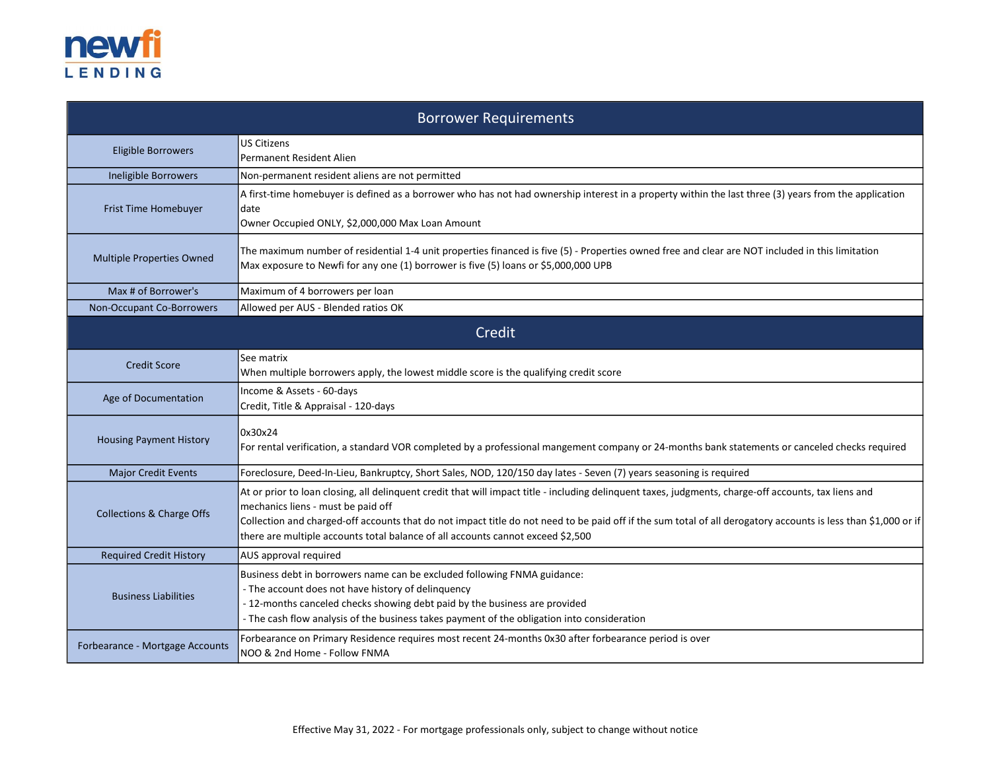

| <b>Borrower Requirements</b>                                                                                                                                                                                                                                                                                                               |                                                                                                                                                                                                                                                                                                                                                                                                                                                  |  |  |  |
|--------------------------------------------------------------------------------------------------------------------------------------------------------------------------------------------------------------------------------------------------------------------------------------------------------------------------------------------|--------------------------------------------------------------------------------------------------------------------------------------------------------------------------------------------------------------------------------------------------------------------------------------------------------------------------------------------------------------------------------------------------------------------------------------------------|--|--|--|
| <b>US Citizens</b><br><b>Eligible Borrowers</b><br><b>Permanent Resident Alien</b>                                                                                                                                                                                                                                                         |                                                                                                                                                                                                                                                                                                                                                                                                                                                  |  |  |  |
| Ineligible Borrowers                                                                                                                                                                                                                                                                                                                       | Non-permanent resident aliens are not permitted                                                                                                                                                                                                                                                                                                                                                                                                  |  |  |  |
| A first-time homebuyer is defined as a borrower who has not had ownership interest in a property within the last three (3) years from the application<br>Frist Time Homebuyer<br>date<br>Owner Occupied ONLY, \$2,000,000 Max Loan Amount                                                                                                  |                                                                                                                                                                                                                                                                                                                                                                                                                                                  |  |  |  |
| Multiple Properties Owned                                                                                                                                                                                                                                                                                                                  | The maximum number of residential 1-4 unit properties financed is five (5) - Properties owned free and clear are NOT included in this limitation<br>Max exposure to Newfi for any one (1) borrower is five (5) loans or \$5,000,000 UPB                                                                                                                                                                                                          |  |  |  |
| Max # of Borrower's                                                                                                                                                                                                                                                                                                                        | Maximum of 4 borrowers per loan                                                                                                                                                                                                                                                                                                                                                                                                                  |  |  |  |
| Non-Occupant Co-Borrowers                                                                                                                                                                                                                                                                                                                  | Allowed per AUS - Blended ratios OK                                                                                                                                                                                                                                                                                                                                                                                                              |  |  |  |
| Credit                                                                                                                                                                                                                                                                                                                                     |                                                                                                                                                                                                                                                                                                                                                                                                                                                  |  |  |  |
| <b>Credit Score</b>                                                                                                                                                                                                                                                                                                                        | See matrix<br>When multiple borrowers apply, the lowest middle score is the qualifying credit score                                                                                                                                                                                                                                                                                                                                              |  |  |  |
| Age of Documentation                                                                                                                                                                                                                                                                                                                       | Income & Assets - 60-days<br>Credit, Title & Appraisal - 120-days                                                                                                                                                                                                                                                                                                                                                                                |  |  |  |
| <b>Housing Payment History</b>                                                                                                                                                                                                                                                                                                             | 0x30x24<br>For rental verification, a standard VOR completed by a professional mangement company or 24-months bank statements or canceled checks required                                                                                                                                                                                                                                                                                        |  |  |  |
| <b>Major Credit Events</b>                                                                                                                                                                                                                                                                                                                 | Foreclosure, Deed-In-Lieu, Bankruptcy, Short Sales, NOD, 120/150 day lates - Seven (7) years seasoning is required                                                                                                                                                                                                                                                                                                                               |  |  |  |
| <b>Collections &amp; Charge Offs</b>                                                                                                                                                                                                                                                                                                       | At or prior to loan closing, all delinquent credit that will impact title - including delinquent taxes, judgments, charge-off accounts, tax liens and<br>mechanics liens - must be paid off<br>Collection and charged-off accounts that do not impact title do not need to be paid off if the sum total of all derogatory accounts is less than \$1,000 or if<br>there are multiple accounts total balance of all accounts cannot exceed \$2,500 |  |  |  |
| <b>Required Credit History</b>                                                                                                                                                                                                                                                                                                             | AUS approval required                                                                                                                                                                                                                                                                                                                                                                                                                            |  |  |  |
| Business debt in borrowers name can be excluded following FNMA guidance:<br>- The account does not have history of delinquency<br><b>Business Liabilities</b><br>- 12-months canceled checks showing debt paid by the business are provided<br>- The cash flow analysis of the business takes payment of the obligation into consideration |                                                                                                                                                                                                                                                                                                                                                                                                                                                  |  |  |  |
| Forbearance - Mortgage Accounts                                                                                                                                                                                                                                                                                                            | Forbearance on Primary Residence requires most recent 24-months 0x30 after forbearance period is over<br>NOO & 2nd Home - Follow FNMA                                                                                                                                                                                                                                                                                                            |  |  |  |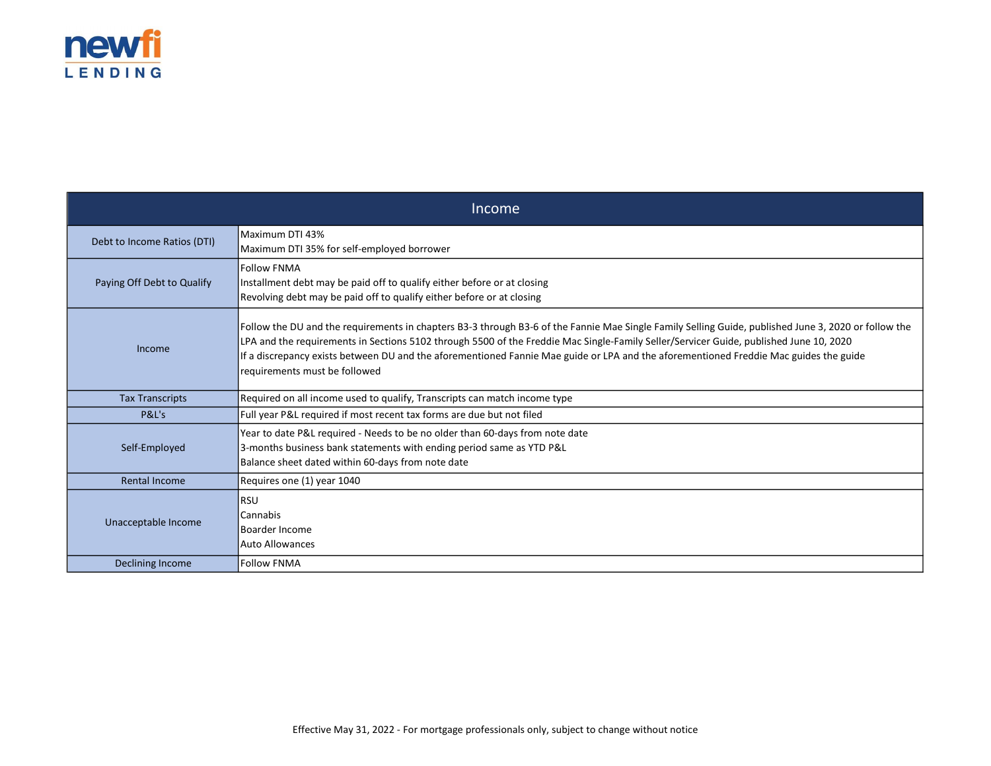

| Income                      |                                                                                                                                                                                                                                                                                                                                                                                                                                                                          |  |  |
|-----------------------------|--------------------------------------------------------------------------------------------------------------------------------------------------------------------------------------------------------------------------------------------------------------------------------------------------------------------------------------------------------------------------------------------------------------------------------------------------------------------------|--|--|
| Debt to Income Ratios (DTI) | Maximum DTI 43%<br>Maximum DTI 35% for self-employed borrower                                                                                                                                                                                                                                                                                                                                                                                                            |  |  |
| Paying Off Debt to Qualify  | <b>Follow FNMA</b><br>Installment debt may be paid off to qualify either before or at closing<br>Revolving debt may be paid off to qualify either before or at closing                                                                                                                                                                                                                                                                                                   |  |  |
| Income                      | Follow the DU and the requirements in chapters B3-3 through B3-6 of the Fannie Mae Single Family Selling Guide, published June 3, 2020 or follow the<br>LPA and the requirements in Sections 5102 through 5500 of the Freddie Mac Single-Family Seller/Servicer Guide, published June 10, 2020<br>If a discrepancy exists between DU and the aforementioned Fannie Mae guide or LPA and the aforementioned Freddie Mac guides the guide<br>requirements must be followed |  |  |
| <b>Tax Transcripts</b>      | Required on all income used to qualify, Transcripts can match income type                                                                                                                                                                                                                                                                                                                                                                                                |  |  |
| P&L's                       | Full year P&L required if most recent tax forms are due but not filed                                                                                                                                                                                                                                                                                                                                                                                                    |  |  |
| Self-Employed               | Year to date P&L required - Needs to be no older than 60-days from note date<br>3-months business bank statements with ending period same as YTD P&L<br>Balance sheet dated within 60-days from note date                                                                                                                                                                                                                                                                |  |  |
| Rental Income               | Requires one (1) year 1040                                                                                                                                                                                                                                                                                                                                                                                                                                               |  |  |
| Unacceptable Income         | <b>RSU</b><br>Cannabis<br>Boarder Income<br><b>Auto Allowances</b>                                                                                                                                                                                                                                                                                                                                                                                                       |  |  |
| Declining Income            | <b>Follow FNMA</b>                                                                                                                                                                                                                                                                                                                                                                                                                                                       |  |  |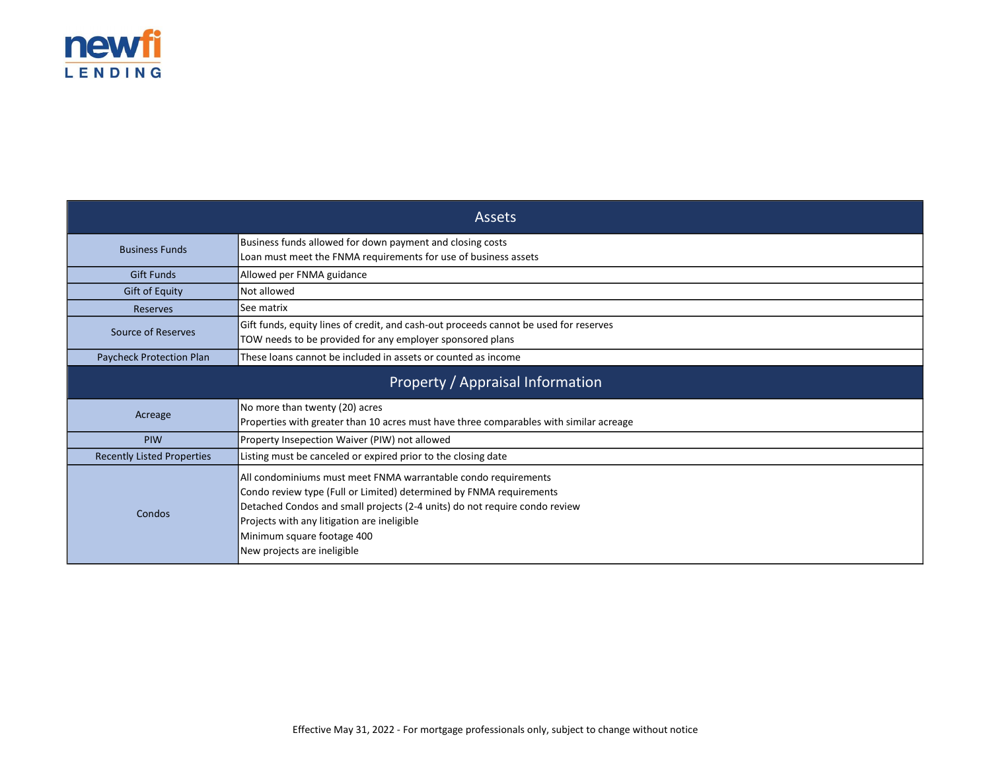

| <b>Assets</b>                                                                                                                                                            |                                                                                                                                                                                                                                                                                                                                 |  |  |  |
|--------------------------------------------------------------------------------------------------------------------------------------------------------------------------|---------------------------------------------------------------------------------------------------------------------------------------------------------------------------------------------------------------------------------------------------------------------------------------------------------------------------------|--|--|--|
| <b>Business Funds</b>                                                                                                                                                    | Business funds allowed for down payment and closing costs<br>Loan must meet the FNMA requirements for use of business assets                                                                                                                                                                                                    |  |  |  |
| <b>Gift Funds</b>                                                                                                                                                        | Allowed per FNMA guidance                                                                                                                                                                                                                                                                                                       |  |  |  |
| <b>Gift of Equity</b>                                                                                                                                                    | Not allowed                                                                                                                                                                                                                                                                                                                     |  |  |  |
| Reserves                                                                                                                                                                 | See matrix                                                                                                                                                                                                                                                                                                                      |  |  |  |
| Gift funds, equity lines of credit, and cash-out proceeds cannot be used for reserves<br>Source of Reserves<br>TOW needs to be provided for any employer sponsored plans |                                                                                                                                                                                                                                                                                                                                 |  |  |  |
| Paycheck Protection Plan                                                                                                                                                 | These loans cannot be included in assets or counted as income                                                                                                                                                                                                                                                                   |  |  |  |
| Property / Appraisal Information                                                                                                                                         |                                                                                                                                                                                                                                                                                                                                 |  |  |  |
| Acreage                                                                                                                                                                  | No more than twenty (20) acres<br>Properties with greater than 10 acres must have three comparables with similar acreage                                                                                                                                                                                                        |  |  |  |
| PIW<br>Property Insepection Waiver (PIW) not allowed                                                                                                                     |                                                                                                                                                                                                                                                                                                                                 |  |  |  |
| <b>Recently Listed Properties</b>                                                                                                                                        | Listing must be canceled or expired prior to the closing date                                                                                                                                                                                                                                                                   |  |  |  |
| Condos                                                                                                                                                                   | All condominiums must meet FNMA warrantable condo requirements<br>Condo review type (Full or Limited) determined by FNMA requirements<br>Detached Condos and small projects (2-4 units) do not require condo review<br>Projects with any litigation are ineligible<br>Minimum square footage 400<br>New projects are ineligible |  |  |  |